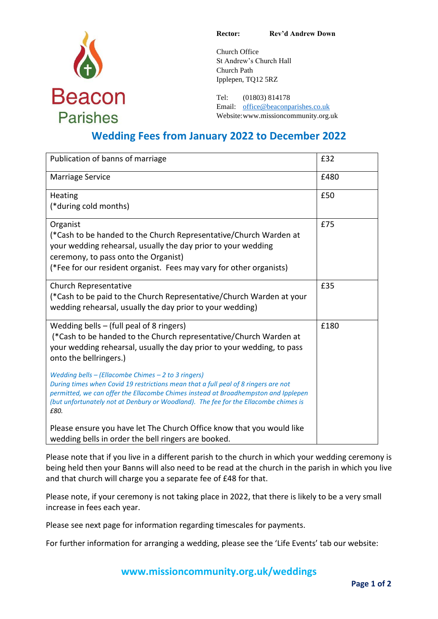

**Rector: Rev'd Andrew Down**

Church Office St Andrew's Church Hall Church Path Ipplepen, TQ12 5RZ

Tel: (01803) 814178 Email: [office@beaconparishes.co.uk](mailto:office@beaconparishes.co.uk) Website:www.missioncommunity.org.uk

# **Wedding Fees from January 2022 to December 2022**

| Publication of banns of marriage                                                                                                                                                                                                                                                                                               | £32  |
|--------------------------------------------------------------------------------------------------------------------------------------------------------------------------------------------------------------------------------------------------------------------------------------------------------------------------------|------|
| Marriage Service                                                                                                                                                                                                                                                                                                               | £480 |
| Heating<br>(*during cold months)                                                                                                                                                                                                                                                                                               | £50  |
| Organist<br>(*Cash to be handed to the Church Representative/Church Warden at<br>your wedding rehearsal, usually the day prior to your wedding<br>ceremony, to pass onto the Organist)<br>(*Fee for our resident organist. Fees may vary for other organists)                                                                  | £75  |
| <b>Church Representative</b><br>(*Cash to be paid to the Church Representative/Church Warden at your<br>wedding rehearsal, usually the day prior to your wedding)                                                                                                                                                              | £35  |
| Wedding bells $-$ (full peal of 8 ringers)<br>(*Cash to be handed to the Church representative/Church Warden at<br>your wedding rehearsal, usually the day prior to your wedding, to pass<br>onto the bellringers.)                                                                                                            | £180 |
| Wedding bells - (Ellacombe Chimes - 2 to 3 ringers)<br>During times when Covid 19 restrictions mean that a full peal of 8 ringers are not<br>permitted, we can offer the Ellacombe Chimes instead at Broadhempston and Ipplepen<br>(but unfortunately not at Denbury or Woodland). The fee for the Ellacombe chimes is<br>£80. |      |
| Please ensure you have let The Church Office know that you would like<br>wedding bells in order the bell ringers are booked.                                                                                                                                                                                                   |      |

Please note that if you live in a different parish to the church in which your wedding ceremony is being held then your Banns will also need to be read at the church in the parish in which you live and that church will charge you a separate fee of £48 for that.

Please note, if your ceremony is not taking place in 2022, that there is likely to be a very small increase in fees each year.

Please see next page for information regarding timescales for payments.

For further information for arranging a wedding, please see the 'Life Events' tab our website:

**[www.missioncommunity.org.uk/weddings](http://www.missioncommunity.org.uk/weddings)**